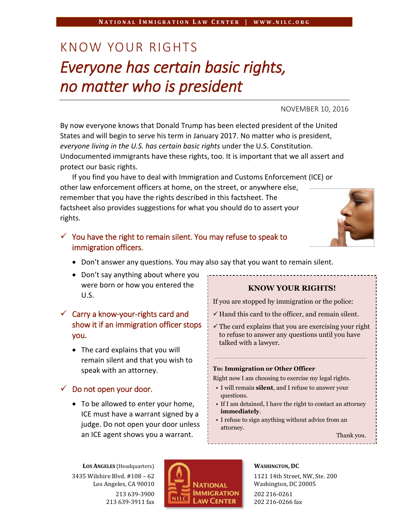# KNOW YOUR RIGHTS *Everyone has certain basic rights, no matter who is president*

NOVEMBER 10, 2016

By now everyone knows that Donald Trump has been elected president of the United States and will begin to serve his term in January 2017. No matter who is president, *everyone living in the U.S. has certain basic rights* under the U.S. Constitution. Undocumented immigrants have these rights, too. It is important that we all assert and protect our basic rights.

If you find you have to deal with Immigration and Customs Enforcement (ICE) or other law enforcement officers at home, on the street, or anywhere else, remember that you have the rights described in this factsheet. The factsheet also provides suggestions for what you should do to assert your rights.

## $\checkmark$  You have the right to remain silent. You may refuse to speak to immigration officers.

- Don't answer any questions. You may also say that you want to remain silent.
- Don't say anything about where you were born or how you entered the U.S.

# $\checkmark$  Carry a know-your-rights card and show it if an immigration officer stops you.

• The card explains that you will remain silent and that you wish to speak with an attorney.

## $\checkmark$  Do not open your door.

• To be allowed to enter your home, ICE must have a warrant signed by a judge. Do not open your door unless an ICE agent shows you a warrant.

## **KNOW YOUR RIGHTS!**

If you are stopped by immigration or the police:

- $\checkmark$  Hand this card to the officer, and remain silent.
- $\checkmark$  The card explains that you are exercising your right to refuse to answer any questions until you have talked with a lawyer.

#### **To: Immigration or Other Officer**

Right now I am choosing to exercise my legal rights.

- I will remain **silent**, and I refuse to answer your questions.
- If I am detained, I have the right to contact an attorney **immediately**.
- I refuse to sign anything without advice from an attorney.

Thank you.

**LOS ANGELES** (Headquarters) 3435 Wilshire Blvd. #108 – 62 Los Angeles, CA 90010 213 639-3900 213 639-3911 fax



#### **WASHINGTON, DC**

1121 14th Street, NW, Ste. 200 Washington, DC 20005 202 216-0261 202 216-0266 fax

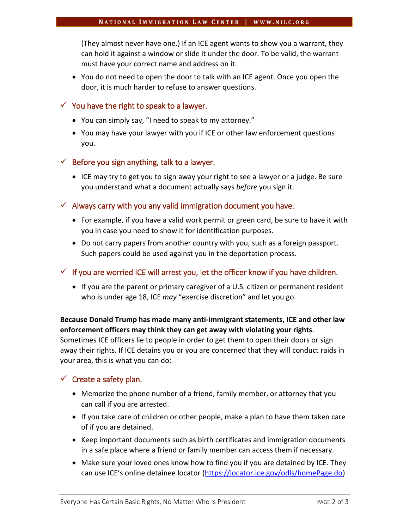(They almost never have one.) If an ICE agent wants to show you a warrant, they can hold it against a window or slide it under the door. To be valid, the warrant must have your correct name and address on it.

• You do not need to open the door to talk with an ICE agent. Once you open the door, it is much harder to refuse to answer questions.

#### $\checkmark$  You have the right to speak to a lawyer.

- You can simply say, "I need to speak to my attorney."
- You may have your lawyer with you if ICE or other law enforcement questions you.

## $\checkmark$  Before you sign anything, talk to a lawyer.

 $\bullet$  ICE may try to get you to sign away your right to see a lawyer or a judge. Be sure you understand what a document actually says *before* you sign it.

### $\checkmark$  Always carry with you any valid immigration document you have.

- For example, if you have a valid work permit or green card, be sure to have it with you in case you need to show it for identification purposes.
- Do not carry papers from another country with you, such as a foreign passport. Such papers could be used against you in the deportation process.

## $\checkmark$  If you are worried ICE will arrest you, let the officer know if you have children.

• If you are the parent or primary caregiver of a U.S. citizen or permanent resident who is under age 18, ICE *may* "exercise discretion" and let you go.

## **Because Donald Trump has made many anti-immigrant statements, ICE and other law enforcement officers may think they can get away with violating your rights**.

Sometimes ICE officers lie to people in order to get them to open their doors or sign away their rights. If ICE detains you or you are concerned that they will conduct raids in your area, this is what you can do:

## $\checkmark$  Create a safety plan.

- Memorize the phone number of a friend, family member, or attorney that you can call if you are arrested.
- If you take care of children or other people, make a plan to have them taken care of if you are detained.
- Keep important documents such as birth certificates and immigration documents in a safe place where a friend or family member can access them if necessary.
- Make sure your loved ones know how to find you if you are detained by ICE. They can use ICE's online detainee locator [\(https://locator.ice.gov/odls/homePage.do\)](https://locator.ice.gov/odls/homePage.do)